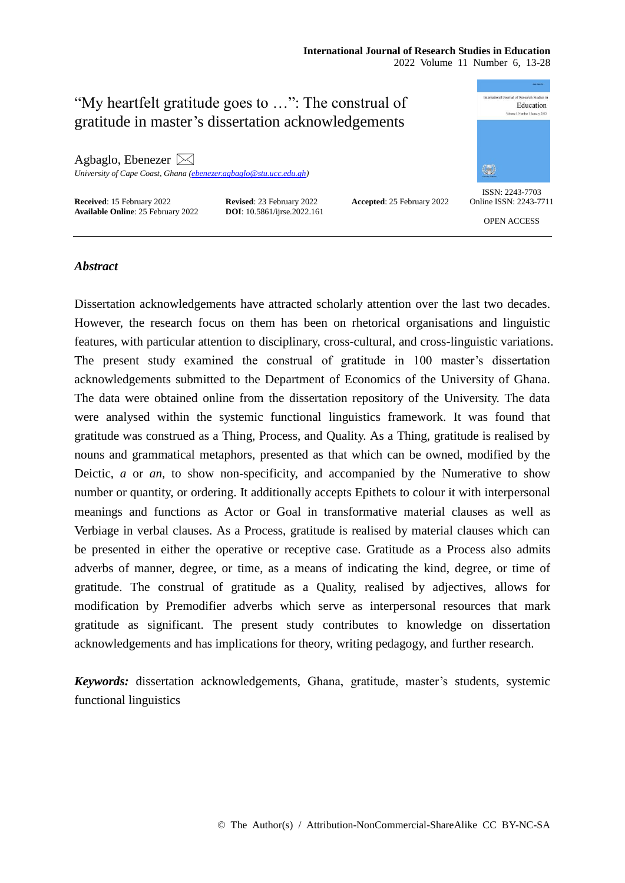## **International Journal of Research Studies in Education**

2022 Volume 11 Number 6, 13-28



## *Abstract*

Dissertation acknowledgements have attracted scholarly attention over the last two decades. However, the research focus on them has been on rhetorical organisations and linguistic features, with particular attention to disciplinary, cross-cultural, and cross-linguistic variations. The present study examined the construal of gratitude in 100 master's dissertation acknowledgements submitted to the Department of Economics of the University of Ghana. The data were obtained online from the dissertation repository of the University. The data were analysed within the systemic functional linguistics framework. It was found that gratitude was construed as a Thing, Process, and Quality. As a Thing, gratitude is realised by nouns and grammatical metaphors, presented as that which can be owned, modified by the Deictic, *a* or *an,* to show non-specificity, and accompanied by the Numerative to show number or quantity, or ordering. It additionally accepts Epithets to colour it with interpersonal meanings and functions as Actor or Goal in transformative material clauses as well as Verbiage in verbal clauses. As a Process, gratitude is realised by material clauses which can be presented in either the operative or receptive case. Gratitude as a Process also admits adverbs of manner, degree, or time, as a means of indicating the kind, degree, or time of gratitude. The construal of gratitude as a Quality, realised by adjectives, allows for modification by Premodifier adverbs which serve as interpersonal resources that mark gratitude as significant. The present study contributes to knowledge on dissertation acknowledgements and has implications for theory, writing pedagogy, and further research.

*Keywords:* dissertation acknowledgements, Ghana, gratitude, master's students, systemic functional linguistics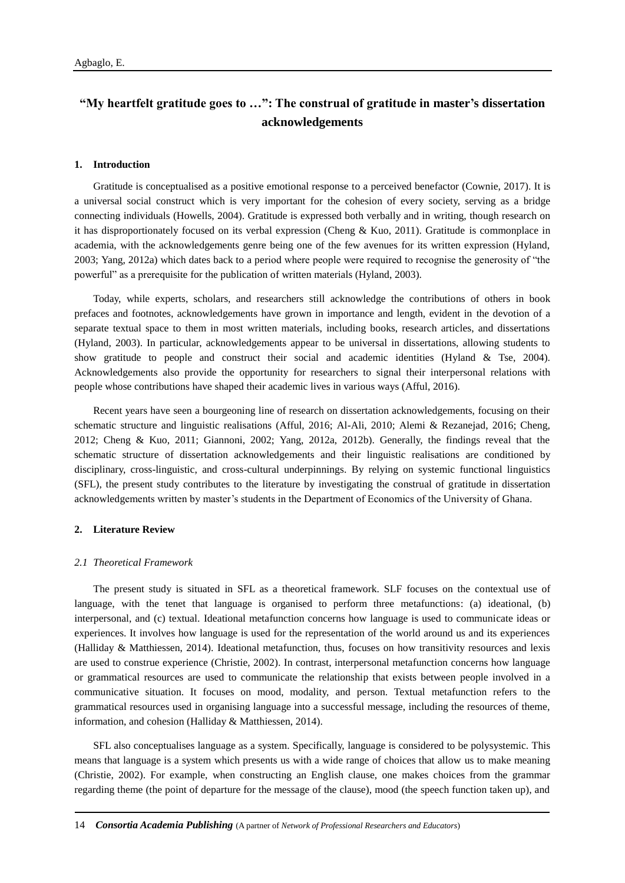# **"My heartfelt gratitude goes to …": The construal of gratitude in master's dissertation acknowledgements**

#### **1. Introduction**

Gratitude is conceptualised as a positive emotional response to a perceived benefactor (Cownie, 2017). It is a universal social construct which is very important for the cohesion of every society, serving as a bridge connecting individuals (Howells, 2004). Gratitude is expressed both verbally and in writing, though research on it has disproportionately focused on its verbal expression (Cheng & Kuo, 2011). Gratitude is commonplace in academia, with the acknowledgements genre being one of the few avenues for its written expression (Hyland, 2003; Yang, 2012a) which dates back to a period where people were required to recognise the generosity of "the powerful" as a prerequisite for the publication of written materials (Hyland, 2003).

Today, while experts, scholars, and researchers still acknowledge the contributions of others in book prefaces and footnotes, acknowledgements have grown in importance and length, evident in the devotion of a separate textual space to them in most written materials, including books, research articles, and dissertations (Hyland, 2003). In particular, acknowledgements appear to be universal in dissertations, allowing students to show gratitude to people and construct their social and academic identities (Hyland & Tse, 2004). Acknowledgements also provide the opportunity for researchers to signal their interpersonal relations with people whose contributions have shaped their academic lives in various ways (Afful, 2016).

Recent years have seen a bourgeoning line of research on dissertation acknowledgements, focusing on their schematic structure and linguistic realisations (Afful, 2016; Al-Ali, 2010; Alemi & Rezanejad, 2016; Cheng, 2012; Cheng & Kuo, 2011; Giannoni, 2002; Yang, 2012a, 2012b). Generally, the findings reveal that the schematic structure of dissertation acknowledgements and their linguistic realisations are conditioned by disciplinary, cross-linguistic, and cross-cultural underpinnings. By relying on systemic functional linguistics (SFL), the present study contributes to the literature by investigating the construal of gratitude in dissertation acknowledgements written by master's students in the Department of Economics of the University of Ghana.

### **2. Literature Review**

#### *2.1 Theoretical Framework*

The present study is situated in SFL as a theoretical framework. SLF focuses on the contextual use of language, with the tenet that language is organised to perform three metafunctions: (a) ideational, (b) interpersonal, and (c) textual. Ideational metafunction concerns how language is used to communicate ideas or experiences. It involves how language is used for the representation of the world around us and its experiences (Halliday & Matthiessen, 2014). Ideational metafunction, thus, focuses on how transitivity resources and lexis are used to construe experience (Christie, 2002). In contrast, interpersonal metafunction concerns how language or grammatical resources are used to communicate the relationship that exists between people involved in a communicative situation. It focuses on mood, modality, and person. Textual metafunction refers to the grammatical resources used in organising language into a successful message, including the resources of theme, information, and cohesion (Halliday & Matthiessen, 2014).

SFL also conceptualises language as a system. Specifically, language is considered to be polysystemic. This means that language is a system which presents us with a wide range of choices that allow us to make meaning (Christie, 2002). For example, when constructing an English clause, one makes choices from the grammar regarding theme (the point of departure for the message of the clause), mood (the speech function taken up), and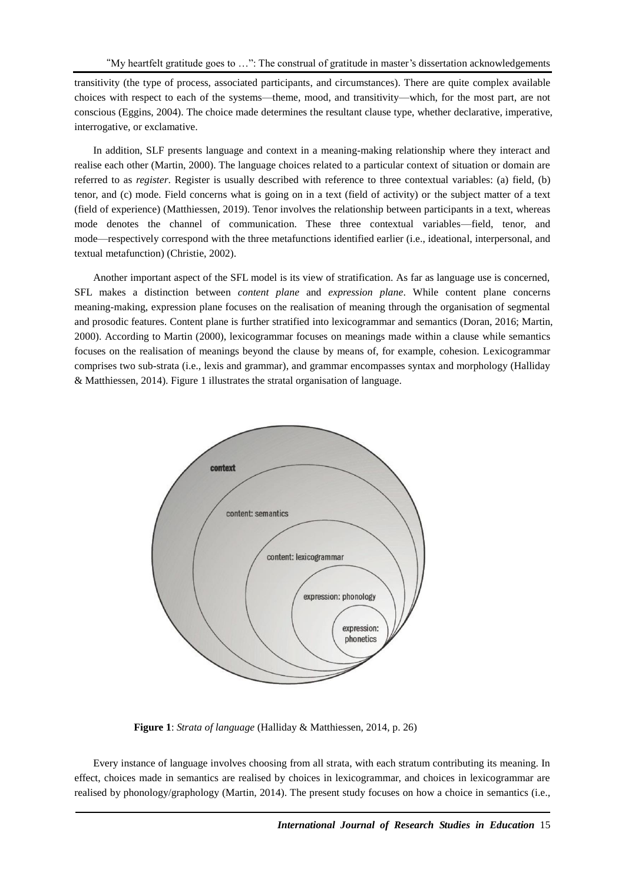transitivity (the type of process, associated participants, and circumstances). There are quite complex available choices with respect to each of the systems—theme, mood, and transitivity—which, for the most part, are not conscious (Eggins, 2004). The choice made determines the resultant clause type, whether declarative, imperative, interrogative, or exclamative.

In addition, SLF presents language and context in a meaning-making relationship where they interact and realise each other (Martin, 2000). The language choices related to a particular context of situation or domain are referred to as *register*. Register is usually described with reference to three contextual variables: (a) field, (b) tenor, and (c) mode. Field concerns what is going on in a text (field of activity) or the subject matter of a text (field of experience) (Matthiessen, 2019). Tenor involves the relationship between participants in a text, whereas mode denotes the channel of communication. These three contextual variables—field, tenor, and mode—respectively correspond with the three metafunctions identified earlier (i.e., ideational, interpersonal, and textual metafunction) (Christie, 2002).

Another important aspect of the SFL model is its view of stratification. As far as language use is concerned, SFL makes a distinction between *content plane* and *expression plane*. While content plane concerns meaning-making, expression plane focuses on the realisation of meaning through the organisation of segmental and prosodic features. Content plane is further stratified into lexicogrammar and semantics (Doran, 2016; Martin, 2000). According to Martin (2000), lexicogrammar focuses on meanings made within a clause while semantics focuses on the realisation of meanings beyond the clause by means of, for example, cohesion. Lexicogrammar comprises two sub-strata (i.e., lexis and grammar), and grammar encompasses syntax and morphology (Halliday & Matthiessen, 2014). Figure 1 illustrates the stratal organisation of language.



**Figure 1**: *Strata of language* (Halliday & Matthiessen, 2014, p. 26)

Every instance of language involves choosing from all strata, with each stratum contributing its meaning. In effect, choices made in semantics are realised by choices in lexicogrammar, and choices in lexicogrammar are realised by phonology/graphology (Martin, 2014). The present study focuses on how a choice in semantics (i.e.,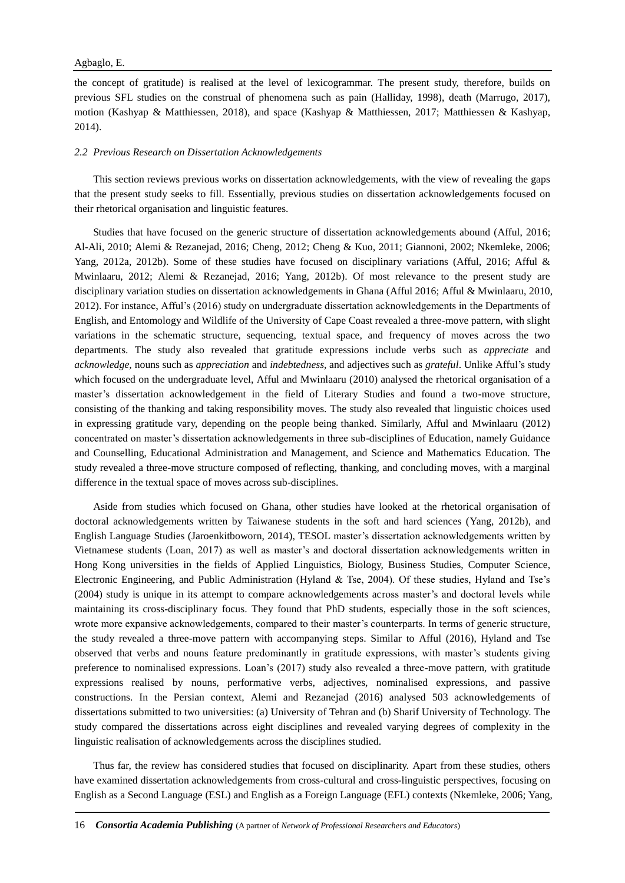the concept of gratitude) is realised at the level of lexicogrammar. The present study, therefore, builds on previous SFL studies on the construal of phenomena such as pain (Halliday, 1998), death (Marrugo, 2017), motion (Kashyap & Matthiessen, 2018), and space (Kashyap & Matthiessen, 2017; Matthiessen & Kashyap, 2014).

### *2.2 Previous Research on Dissertation Acknowledgements*

This section reviews previous works on dissertation acknowledgements, with the view of revealing the gaps that the present study seeks to fill. Essentially, previous studies on dissertation acknowledgements focused on their rhetorical organisation and linguistic features.

Studies that have focused on the generic structure of dissertation acknowledgements abound (Afful, 2016; Al-Ali, 2010; Alemi & Rezanejad, 2016; Cheng, 2012; Cheng & Kuo, 2011; Giannoni, 2002; Nkemleke, 2006; Yang, 2012a, 2012b). Some of these studies have focused on disciplinary variations (Afful, 2016; Afful & Mwinlaaru, 2012; Alemi & Rezanejad, 2016; Yang, 2012b). Of most relevance to the present study are disciplinary variation studies on dissertation acknowledgements in Ghana (Afful 2016; Afful & Mwinlaaru, 2010, 2012). For instance, Afful's (2016) study on undergraduate dissertation acknowledgements in the Departments of English, and Entomology and Wildlife of the University of Cape Coast revealed a three-move pattern, with slight variations in the schematic structure, sequencing, textual space, and frequency of moves across the two departments. The study also revealed that gratitude expressions include verbs such as *appreciate* and *acknowledge,* nouns such as *appreciation* and *indebtedness,* and adjectives such as *grateful*. Unlike Afful's study which focused on the undergraduate level, Afful and Mwinlaaru (2010) analysed the rhetorical organisation of a master's dissertation acknowledgement in the field of Literary Studies and found a two-move structure, consisting of the thanking and taking responsibility moves. The study also revealed that linguistic choices used in expressing gratitude vary, depending on the people being thanked. Similarly, Afful and Mwinlaaru (2012) concentrated on master's dissertation acknowledgements in three sub-disciplines of Education, namely Guidance and Counselling, Educational Administration and Management, and Science and Mathematics Education. The study revealed a three-move structure composed of reflecting, thanking, and concluding moves, with a marginal difference in the textual space of moves across sub-disciplines.

Aside from studies which focused on Ghana, other studies have looked at the rhetorical organisation of doctoral acknowledgements written by Taiwanese students in the soft and hard sciences (Yang, 2012b), and English Language Studies (Jaroenkitboworn, 2014), TESOL master's dissertation acknowledgements written by Vietnamese students (Loan, 2017) as well as master's and doctoral dissertation acknowledgements written in Hong Kong universities in the fields of Applied Linguistics, Biology, Business Studies, Computer Science, Electronic Engineering, and Public Administration (Hyland & Tse, 2004). Of these studies, Hyland and Tse's (2004) study is unique in its attempt to compare acknowledgements across master's and doctoral levels while maintaining its cross-disciplinary focus. They found that PhD students, especially those in the soft sciences, wrote more expansive acknowledgements, compared to their master's counterparts. In terms of generic structure, the study revealed a three-move pattern with accompanying steps. Similar to Afful (2016), Hyland and Tse observed that verbs and nouns feature predominantly in gratitude expressions, with master's students giving preference to nominalised expressions. Loan's (2017) study also revealed a three-move pattern, with gratitude expressions realised by nouns, performative verbs, adjectives, nominalised expressions, and passive constructions. In the Persian context, Alemi and Rezanejad (2016) analysed 503 acknowledgements of dissertations submitted to two universities: (a) University of Tehran and (b) Sharif University of Technology. The study compared the dissertations across eight disciplines and revealed varying degrees of complexity in the linguistic realisation of acknowledgements across the disciplines studied.

Thus far, the review has considered studies that focused on disciplinarity. Apart from these studies, others have examined dissertation acknowledgements from cross-cultural and cross-linguistic perspectives, focusing on English as a Second Language (ESL) and English as a Foreign Language (EFL) contexts (Nkemleke, 2006; Yang,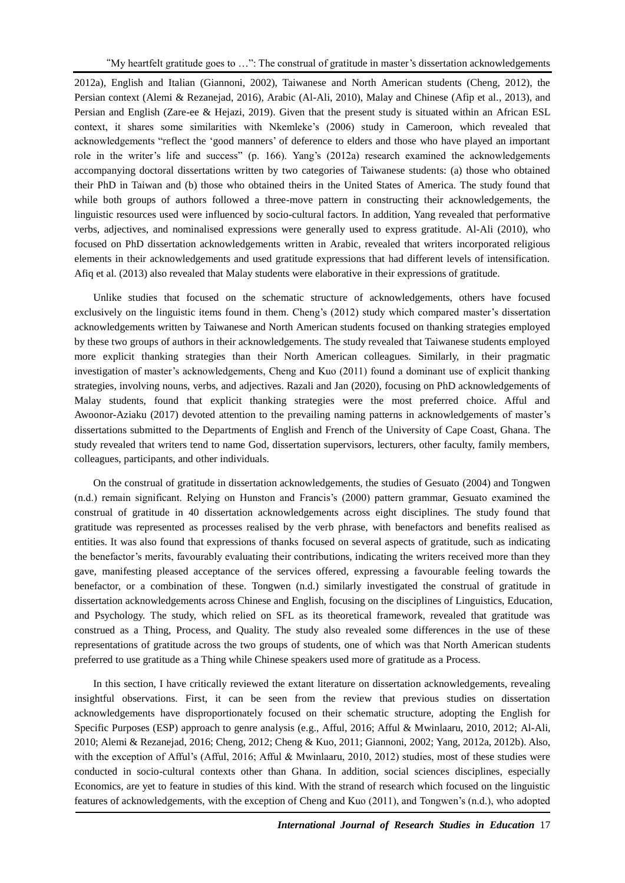2012a), English and Italian (Giannoni, 2002), Taiwanese and North American students (Cheng, 2012), the Persian context (Alemi & Rezanejad, 2016), Arabic (Al-Ali, 2010), Malay and Chinese (Afip et al., 2013), and Persian and English (Zare-ee & Hejazi, 2019). Given that the present study is situated within an African ESL context, it shares some similarities with Nkemleke's (2006) study in Cameroon, which revealed that acknowledgements "reflect the 'good manners' of deference to elders and those who have played an important role in the writer's life and success" (p. 166). Yang's (2012a) research examined the acknowledgements accompanying doctoral dissertations written by two categories of Taiwanese students: (a) those who obtained their PhD in Taiwan and (b) those who obtained theirs in the United States of America. The study found that while both groups of authors followed a three-move pattern in constructing their acknowledgements, the linguistic resources used were influenced by socio-cultural factors. In addition, Yang revealed that performative verbs, adjectives, and nominalised expressions were generally used to express gratitude. Al-Ali (2010), who focused on PhD dissertation acknowledgements written in Arabic, revealed that writers incorporated religious elements in their acknowledgements and used gratitude expressions that had different levels of intensification. Afiq et al. (2013) also revealed that Malay students were elaborative in their expressions of gratitude.

Unlike studies that focused on the schematic structure of acknowledgements, others have focused exclusively on the linguistic items found in them. Cheng's (2012) study which compared master's dissertation acknowledgements written by Taiwanese and North American students focused on thanking strategies employed by these two groups of authors in their acknowledgements. The study revealed that Taiwanese students employed more explicit thanking strategies than their North American colleagues. Similarly, in their pragmatic investigation of master's acknowledgements, Cheng and Kuo (2011) found a dominant use of explicit thanking strategies, involving nouns, verbs, and adjectives. Razali and Jan (2020), focusing on PhD acknowledgements of Malay students, found that explicit thanking strategies were the most preferred choice. Afful and Awoonor-Aziaku (2017) devoted attention to the prevailing naming patterns in acknowledgements of master's dissertations submitted to the Departments of English and French of the University of Cape Coast, Ghana. The study revealed that writers tend to name God, dissertation supervisors, lecturers, other faculty, family members, colleagues, participants, and other individuals.

On the construal of gratitude in dissertation acknowledgements, the studies of Gesuato (2004) and Tongwen (n.d.) remain significant. Relying on Hunston and Francis's (2000) pattern grammar, Gesuato examined the construal of gratitude in 40 dissertation acknowledgements across eight disciplines. The study found that gratitude was represented as processes realised by the verb phrase, with benefactors and benefits realised as entities. It was also found that expressions of thanks focused on several aspects of gratitude, such as indicating the benefactor's merits, favourably evaluating their contributions, indicating the writers received more than they gave, manifesting pleased acceptance of the services offered, expressing a favourable feeling towards the benefactor, or a combination of these. Tongwen (n.d.) similarly investigated the construal of gratitude in dissertation acknowledgements across Chinese and English, focusing on the disciplines of Linguistics, Education, and Psychology. The study, which relied on SFL as its theoretical framework, revealed that gratitude was construed as a Thing, Process, and Quality. The study also revealed some differences in the use of these representations of gratitude across the two groups of students, one of which was that North American students preferred to use gratitude as a Thing while Chinese speakers used more of gratitude as a Process.

In this section, I have critically reviewed the extant literature on dissertation acknowledgements, revealing insightful observations. First, it can be seen from the review that previous studies on dissertation acknowledgements have disproportionately focused on their schematic structure, adopting the English for Specific Purposes (ESP) approach to genre analysis (e.g., Afful, 2016; Afful & Mwinlaaru, 2010, 2012; Al-Ali, 2010; Alemi & Rezanejad, 2016; Cheng, 2012; Cheng & Kuo, 2011; Giannoni, 2002; Yang, 2012a, 2012b). Also, with the exception of Afful's (Afful, 2016; Afful & Mwinlaaru, 2010, 2012) studies, most of these studies were conducted in socio-cultural contexts other than Ghana. In addition, social sciences disciplines, especially Economics, are yet to feature in studies of this kind. With the strand of research which focused on the linguistic features of acknowledgements, with the exception of Cheng and Kuo (2011), and Tongwen's (n.d.), who adopted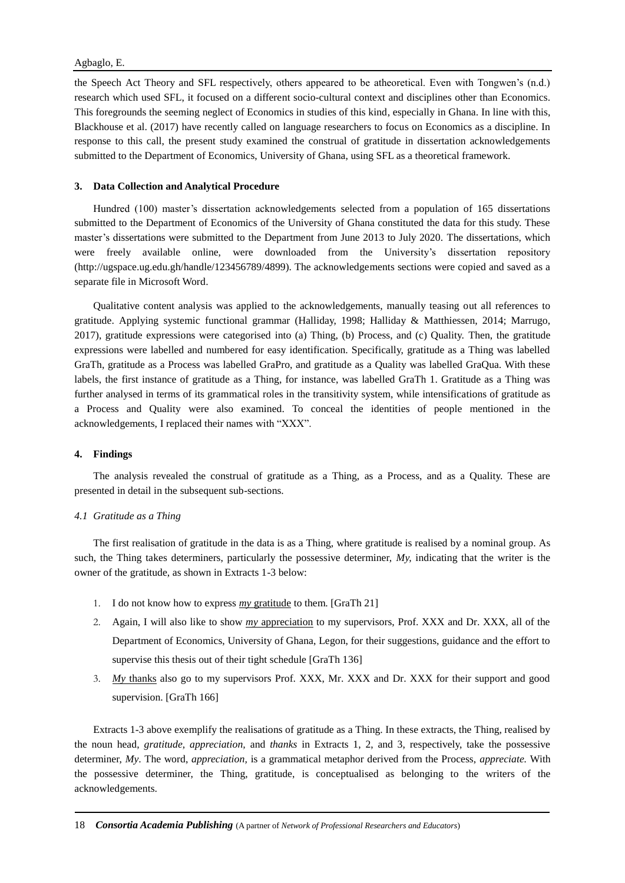## Agbaglo, E.

the Speech Act Theory and SFL respectively, others appeared to be atheoretical. Even with Tongwen's (n.d.) research which used SFL, it focused on a different socio-cultural context and disciplines other than Economics. This foregrounds the seeming neglect of Economics in studies of this kind, especially in Ghana. In line with this, Blackhouse et al. (2017) have recently called on language researchers to focus on Economics as a discipline. In response to this call, the present study examined the construal of gratitude in dissertation acknowledgements submitted to the Department of Economics, University of Ghana, using SFL as a theoretical framework.

## **3. Data Collection and Analytical Procedure**

Hundred (100) master's dissertation acknowledgements selected from a population of 165 dissertations submitted to the Department of Economics of the University of Ghana constituted the data for this study. These master's dissertations were submitted to the Department from June 2013 to July 2020. The dissertations, which were freely available online, were downloaded from the University's dissertation repository (http://ugspace.ug.edu.gh/handle/123456789/4899). The acknowledgements sections were copied and saved as a separate file in Microsoft Word.

Qualitative content analysis was applied to the acknowledgements, manually teasing out all references to gratitude. Applying systemic functional grammar (Halliday, 1998; Halliday & Matthiessen, 2014; Marrugo, 2017), gratitude expressions were categorised into (a) Thing, (b) Process, and (c) Quality. Then, the gratitude expressions were labelled and numbered for easy identification. Specifically, gratitude as a Thing was labelled GraTh, gratitude as a Process was labelled GraPro, and gratitude as a Quality was labelled GraQua. With these labels, the first instance of gratitude as a Thing, for instance, was labelled GraTh 1. Gratitude as a Thing was further analysed in terms of its grammatical roles in the transitivity system, while intensifications of gratitude as a Process and Quality were also examined. To conceal the identities of people mentioned in the acknowledgements, I replaced their names with "XXX".

## **4. Findings**

The analysis revealed the construal of gratitude as a Thing, as a Process, and as a Quality. These are presented in detail in the subsequent sub-sections.

## *4.1 Gratitude as a Thing*

The first realisation of gratitude in the data is as a Thing, where gratitude is realised by a nominal group. As such, the Thing takes determiners, particularly the possessive determiner,  $M<sub>V<sub>x</sub></sub>$ , indicating that the writer is the owner of the gratitude, as shown in Extracts 1-3 below:

- 1. I do not know how to express *my* gratitude to them. [GraTh 21]
- 2. Again, I will also like to show *my* appreciation to my supervisors, Prof. XXX and Dr. XXX, all of the Department of Economics, University of Ghana, Legon, for their suggestions, guidance and the effort to supervise this thesis out of their tight schedule [GraTh 136]
- 3. *My* thanks also go to my supervisors Prof. XXX, Mr. XXX and Dr. XXX for their support and good supervision. [GraTh 166]

Extracts 1-3 above exemplify the realisations of gratitude as a Thing. In these extracts, the Thing, realised by the noun head, *gratitude, appreciation,* and *thanks* in Extracts 1, 2, and 3, respectively, take the possessive determiner, *My*. The word, *appreciation,* is a grammatical metaphor derived from the Process, *appreciate.* With the possessive determiner, the Thing, gratitude, is conceptualised as belonging to the writers of the acknowledgements.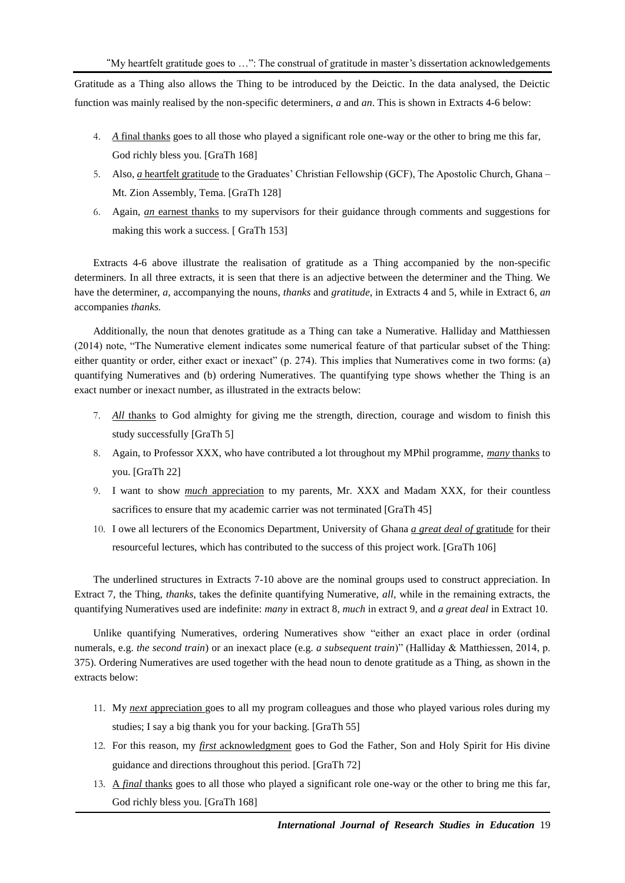"My heartfelt gratitude goes to …": The construal of gratitude in master's dissertation acknowledgements

Gratitude as a Thing also allows the Thing to be introduced by the Deictic. In the data analysed, the Deictic function was mainly realised by the non-specific determiners, *a* and *an*. This is shown in Extracts 4-6 below:

- 4. *A* final thanks goes to all those who played a significant role one-way or the other to bring me this far, God richly bless you. [GraTh 168]
- 5. Also, *a* heartfelt gratitude to the Graduates' Christian Fellowship (GCF), The Apostolic Church, Ghana Mt. Zion Assembly, Tema. [GraTh 128]
- 6. Again, *an* earnest thanks to my supervisors for their guidance through comments and suggestions for making this work a success. [ GraTh 153]

Extracts 4-6 above illustrate the realisation of gratitude as a Thing accompanied by the non-specific determiners. In all three extracts, it is seen that there is an adjective between the determiner and the Thing. We have the determiner, *a,* accompanying the nouns, *thanks* and *gratitude,* in Extracts 4 and 5, while in Extract 6, *an* accompanies *thanks.*

Additionally, the noun that denotes gratitude as a Thing can take a Numerative. Halliday and Matthiessen (2014) note, "The Numerative element indicates some numerical feature of that particular subset of the Thing: either quantity or order, either exact or inexact" (p. 274). This implies that Numeratives come in two forms: (a) quantifying Numeratives and (b) ordering Numeratives. The quantifying type shows whether the Thing is an exact number or inexact number, as illustrated in the extracts below:

- 7. *All* thanks to God almighty for giving me the strength, direction, courage and wisdom to finish this study successfully [GraTh 5]
- 8. Again, to Professor XXX, who have contributed a lot throughout my MPhil programme, *many* thanks to you. [GraTh 22]
- 9. I want to show *much* appreciation to my parents, Mr. XXX and Madam XXX, for their countless sacrifices to ensure that my academic carrier was not terminated [GraTh 45]
- 10. I owe all lecturers of the Economics Department, University of Ghana *a great deal of* gratitude for their resourceful lectures, which has contributed to the success of this project work. [GraTh 106]

The underlined structures in Extracts 7-10 above are the nominal groups used to construct appreciation. In Extract 7, the Thing, *thanks*, takes the definite quantifying Numerative, *all,* while in the remaining extracts, the quantifying Numeratives used are indefinite: *many* in extract 8, *much* in extract 9, and *a great deal* in Extract 10.

Unlike quantifying Numeratives, ordering Numeratives show "either an exact place in order (ordinal numerals, e.g. *the second train*) or an inexact place (e.g. *a subsequent train*)" (Halliday & Matthiessen, 2014, p. 375). Ordering Numeratives are used together with the head noun to denote gratitude as a Thing, as shown in the extracts below:

- 11. My *next* appreciation goes to all my program colleagues and those who played various roles during my studies; I say a big thank you for your backing. [GraTh 55]
- 12. For this reason, my *first* acknowledgment goes to God the Father, Son and Holy Spirit for His divine guidance and directions throughout this period. [GraTh 72]
- 13. A *final* thanks goes to all those who played a significant role one-way or the other to bring me this far, God richly bless you. [GraTh 168]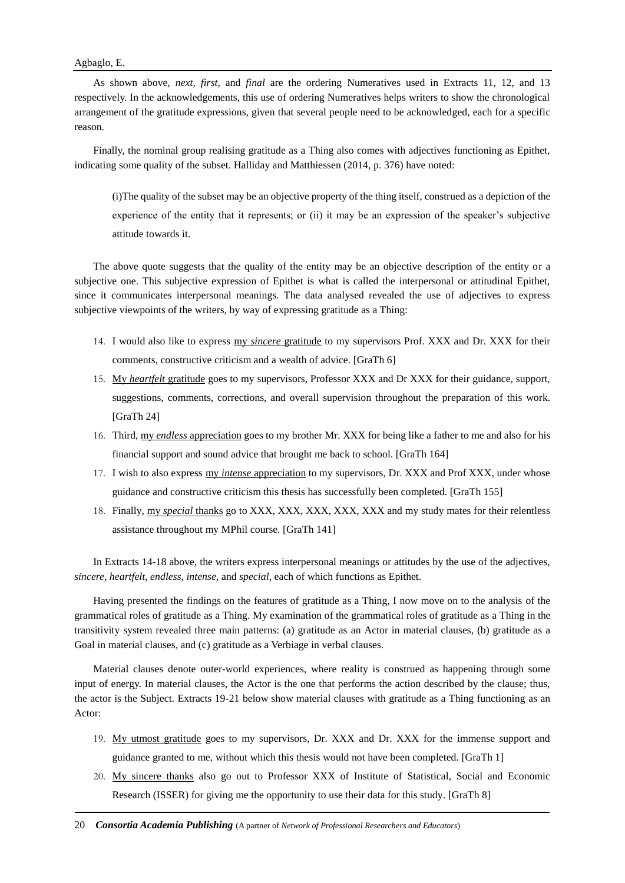As shown above, *next, first,* and *final* are the ordering Numeratives used in Extracts 11, 12, and 13 respectively. In the acknowledgements, this use of ordering Numeratives helps writers to show the chronological arrangement of the gratitude expressions, given that several people need to be acknowledged, each for a specific reason.

Finally, the nominal group realising gratitude as a Thing also comes with adjectives functioning as Epithet, indicating some quality of the subset. Halliday and Matthiessen (2014, p. 376) have noted:

(i)The quality of the subset may be an objective property of the thing itself, construed as a depiction of the experience of the entity that it represents; or (ii) it may be an expression of the speaker's subjective attitude towards it.

The above quote suggests that the quality of the entity may be an objective description of the entity or a subjective one. This subjective expression of Epithet is what is called the interpersonal or attitudinal Epithet, since it communicates interpersonal meanings. The data analysed revealed the use of adjectives to express subjective viewpoints of the writers, by way of expressing gratitude as a Thing:

- 14. I would also like to express my *sincere* gratitude to my supervisors Prof. XXX and Dr. XXX for their comments, constructive criticism and a wealth of advice. [GraTh 6]
- 15. My *heartfelt* gratitude goes to my supervisors, Professor XXX and Dr XXX for their guidance, support, suggestions, comments, corrections, and overall supervision throughout the preparation of this work. [GraTh 24]
- 16. Third, my *endless* appreciation goes to my brother Mr. XXX for being like a father to me and also for his financial support and sound advice that brought me back to school. [GraTh 164]
- 17. I wish to also express my *intense* appreciation to my supervisors, Dr. XXX and Prof XXX, under whose guidance and constructive criticism this thesis has successfully been completed. [GraTh 155]
- 18. Finally, my *special* thanks go to XXX, XXX, XXX, XXX, XXX and my study mates for their relentless assistance throughout my MPhil course. [GraTh 141]

In Extracts 14-18 above, the writers express interpersonal meanings or attitudes by the use of the adjectives, *sincere, heartfelt, endless, intense,* and *special*, each of which functions as Epithet.

Having presented the findings on the features of gratitude as a Thing, I now move on to the analysis of the grammatical roles of gratitude as a Thing. My examination of the grammatical roles of gratitude as a Thing in the transitivity system revealed three main patterns: (a) gratitude as an Actor in material clauses, (b) gratitude as a Goal in material clauses, and (c) gratitude as a Verbiage in verbal clauses.

Material clauses denote outer-world experiences, where reality is construed as happening through some input of energy. In material clauses, the Actor is the one that performs the action described by the clause; thus, the actor is the Subject. Extracts 19-21 below show material clauses with gratitude as a Thing functioning as an Actor:

- 19. My utmost gratitude goes to my supervisors, Dr. XXX and Dr. XXX for the immense support and guidance granted to me, without which this thesis would not have been completed. [GraTh 1]
- 20. My sincere thanks also go out to Professor XXX of Institute of Statistical, Social and Economic Research (ISSER) for giving me the opportunity to use their data for this study. [GraTh 8]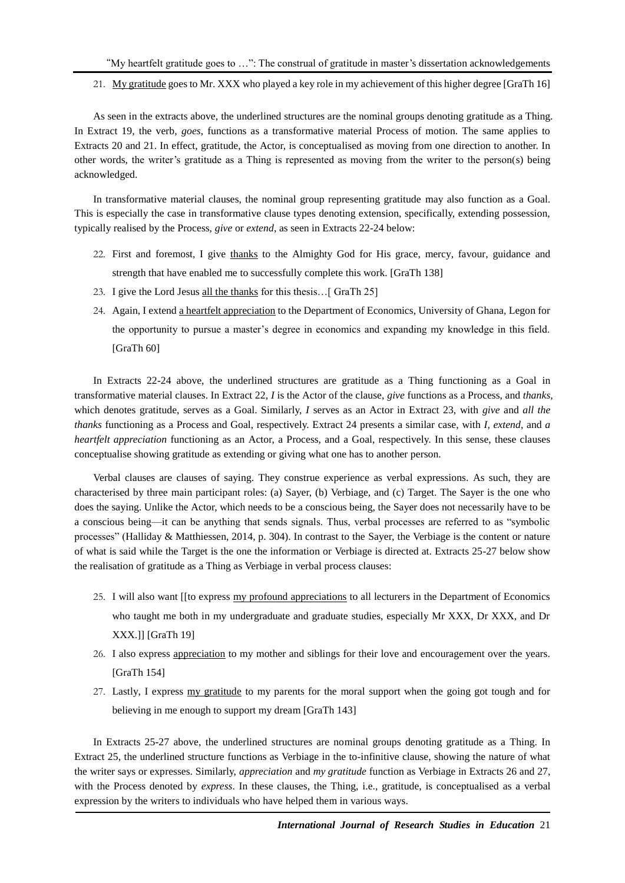21. My gratitude goes to Mr. XXX who played a key role in my achievement of this higher degree [GraTh 16]

As seen in the extracts above, the underlined structures are the nominal groups denoting gratitude as a Thing. In Extract 19, the verb, *goes*, functions as a transformative material Process of motion. The same applies to Extracts 20 and 21. In effect, gratitude, the Actor, is conceptualised as moving from one direction to another. In other words, the writer's gratitude as a Thing is represented as moving from the writer to the person(s) being acknowledged.

In transformative material clauses, the nominal group representing gratitude may also function as a Goal. This is especially the case in transformative clause types denoting extension, specifically, extending possession, typically realised by the Process, *give* or *extend*, as seen in Extracts 22-24 below:

- 22. First and foremost, I give thanks to the Almighty God for His grace, mercy, favour, guidance and strength that have enabled me to successfully complete this work. [GraTh 138]
- 23. I give the Lord Jesus all the thanks for this thesis…[ GraTh 25]
- 24. Again, I extend a heartfelt appreciation to the Department of Economics, University of Ghana, Legon for the opportunity to pursue a master's degree in economics and expanding my knowledge in this field. [GraTh 60]

In Extracts 22-24 above, the underlined structures are gratitude as a Thing functioning as a Goal in transformative material clauses. In Extract 22, *I* is the Actor of the clause, *give* functions as a Process, and *thanks,* which denotes gratitude, serves as a Goal. Similarly, *I* serves as an Actor in Extract 23, with *give* and *all the thanks* functioning as a Process and Goal, respectively. Extract 24 presents a similar case, with *I, extend*, and *a heartfelt appreciation* functioning as an Actor, a Process, and a Goal, respectively. In this sense, these clauses conceptualise showing gratitude as extending or giving what one has to another person.

Verbal clauses are clauses of saying. They construe experience as verbal expressions. As such, they are characterised by three main participant roles: (a) Sayer, (b) Verbiage, and (c) Target. The Sayer is the one who does the saying. Unlike the Actor, which needs to be a conscious being, the Sayer does not necessarily have to be a conscious being—it can be anything that sends signals. Thus, verbal processes are referred to as "symbolic processes" (Halliday & Matthiessen, 2014, p. 304). In contrast to the Sayer, the Verbiage is the content or nature of what is said while the Target is the one the information or Verbiage is directed at. Extracts 25-27 below show the realisation of gratitude as a Thing as Verbiage in verbal process clauses:

- 25. I will also want [[to express my profound appreciations to all lecturers in the Department of Economics who taught me both in my undergraduate and graduate studies, especially Mr XXX, Dr XXX, and Dr XXX.]] [GraTh 19]
- 26. I also express appreciation to my mother and siblings for their love and encouragement over the years. [GraTh 154]
- 27. Lastly, I express my gratitude to my parents for the moral support when the going got tough and for believing in me enough to support my dream [GraTh 143]

In Extracts 25-27 above, the underlined structures are nominal groups denoting gratitude as a Thing. In Extract 25, the underlined structure functions as Verbiage in the to-infinitive clause, showing the nature of what the writer says or expresses. Similarly, *appreciation* and *my gratitude* function as Verbiage in Extracts 26 and 27, with the Process denoted by *express*. In these clauses, the Thing, i.e., gratitude, is conceptualised as a verbal expression by the writers to individuals who have helped them in various ways.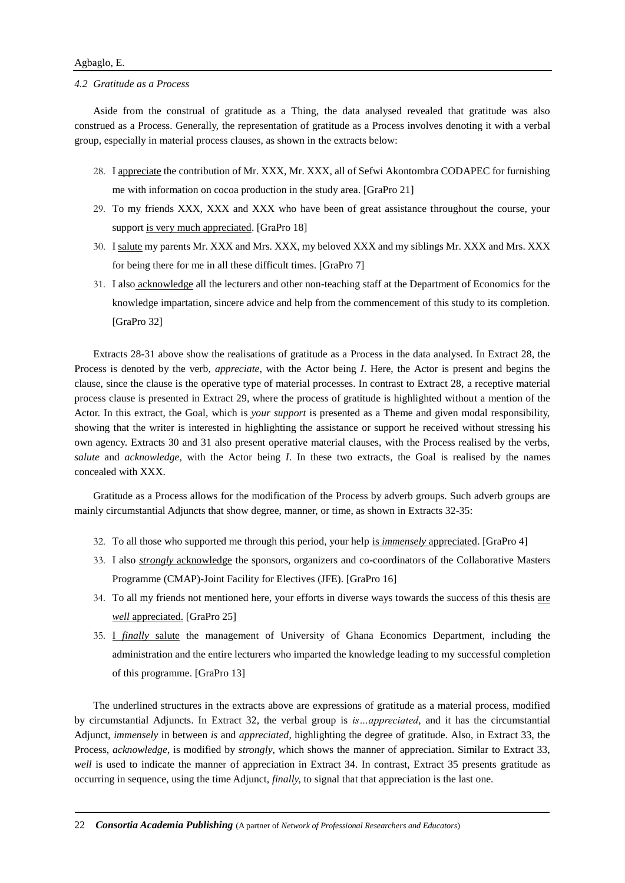#### *4.2 Gratitude as a Process*

Aside from the construal of gratitude as a Thing, the data analysed revealed that gratitude was also construed as a Process. Generally, the representation of gratitude as a Process involves denoting it with a verbal group, especially in material process clauses, as shown in the extracts below:

- 28. I appreciate the contribution of Mr. XXX, Mr. XXX, all of Sefwi Akontombra CODAPEC for furnishing me with information on cocoa production in the study area. [GraPro 21]
- 29. To my friends XXX, XXX and XXX who have been of great assistance throughout the course, your support is very much appreciated. [GraPro 18]
- 30. I salute my parents Mr. XXX and Mrs. XXX, my beloved XXX and my siblings Mr. XXX and Mrs. XXX for being there for me in all these difficult times. [GraPro 7]
- 31. I also acknowledge all the lecturers and other non-teaching staff at the Department of Economics for the knowledge impartation, sincere advice and help from the commencement of this study to its completion. [GraPro 32]

Extracts 28-31 above show the realisations of gratitude as a Process in the data analysed. In Extract 28, the Process is denoted by the verb, *appreciate*, with the Actor being *I*. Here, the Actor is present and begins the clause, since the clause is the operative type of material processes. In contrast to Extract 28, a receptive material process clause is presented in Extract 29, where the process of gratitude is highlighted without a mention of the Actor. In this extract, the Goal, which is *your support* is presented as a Theme and given modal responsibility, showing that the writer is interested in highlighting the assistance or support he received without stressing his own agency. Extracts 30 and 31 also present operative material clauses, with the Process realised by the verbs, *salute* and *acknowledge*, with the Actor being *I*. In these two extracts, the Goal is realised by the names concealed with XXX.

Gratitude as a Process allows for the modification of the Process by adverb groups. Such adverb groups are mainly circumstantial Adjuncts that show degree, manner, or time, as shown in Extracts 32-35:

- 32. To all those who supported me through this period, your help is *immensely* appreciated. [GraPro 4]
- 33. I also *strongly* acknowledge the sponsors, organizers and co-coordinators of the Collaborative Masters Programme (CMAP)-Joint Facility for Electives (JFE). [GraPro 16]
- 34. To all my friends not mentioned here, your efforts in diverse ways towards the success of this thesis are *well* appreciated. [GraPro 25]
- 35. I *finally* salute the management of University of Ghana Economics Department, including the administration and the entire lecturers who imparted the knowledge leading to my successful completion of this programme. [GraPro 13]

The underlined structures in the extracts above are expressions of gratitude as a material process, modified by circumstantial Adjuncts. In Extract 32, the verbal group is *is…appreciated*, and it has the circumstantial Adjunct, *immensely* in between *is* and *appreciated*, highlighting the degree of gratitude. Also, in Extract 33, the Process, *acknowledge*, is modified by *strongly*, which shows the manner of appreciation. Similar to Extract 33, *well* is used to indicate the manner of appreciation in Extract 34. In contrast, Extract 35 presents gratitude as occurring in sequence, using the time Adjunct, *finally,* to signal that that appreciation is the last one.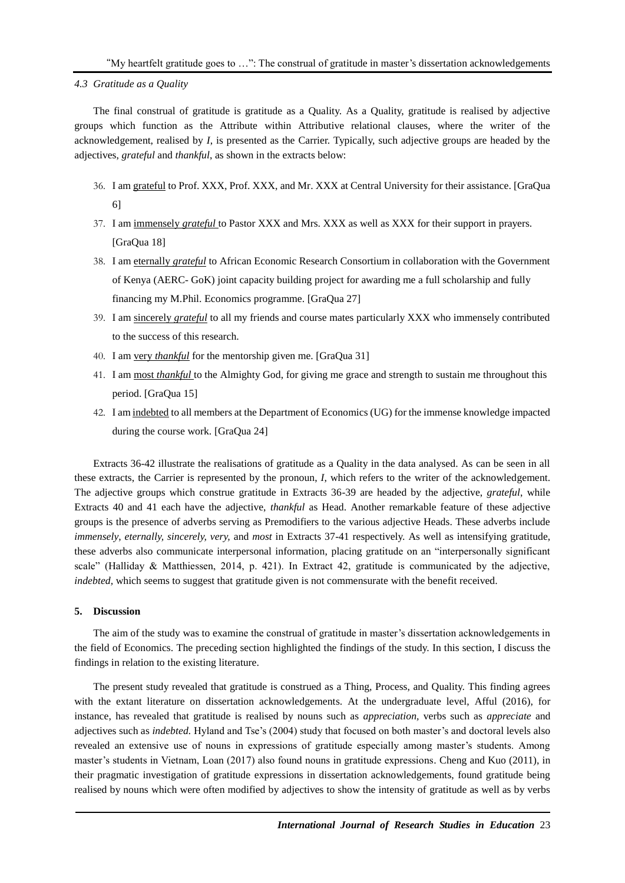*4.3 Gratitude as a Quality* 

The final construal of gratitude is gratitude as a Quality. As a Quality, gratitude is realised by adjective groups which function as the Attribute within Attributive relational clauses, where the writer of the acknowledgement, realised by *I*, is presented as the Carrier. Typically, such adjective groups are headed by the adjectives, *grateful* and *thankful*, as shown in the extracts below:

- 36. I am grateful to Prof. XXX, Prof. XXX, and Mr. XXX at Central University for their assistance. [GraQua 6]
- 37. I am immensely *grateful* to Pastor XXX and Mrs. XXX as well as XXX for their support in prayers. [GraQua 18]
- 38. I am eternally *grateful* to African Economic Research Consortium in collaboration with the Government of Kenya (AERC- GoK) joint capacity building project for awarding me a full scholarship and fully financing my M.Phil. Economics programme. [GraQua 27]
- 39. I am sincerely *grateful* to all my friends and course mates particularly XXX who immensely contributed to the success of this research.
- 40. I am very *thankful* for the mentorship given me. [GraQua 31]
- 41. I am most *thankful* to the Almighty God, for giving me grace and strength to sustain me throughout this period. [GraQua 15]
- 42. I am indebted to all members at the Department of Economics (UG) for the immense knowledge impacted during the course work. [GraQua 24]

Extracts 36-42 illustrate the realisations of gratitude as a Quality in the data analysed. As can be seen in all these extracts, the Carrier is represented by the pronoun, *I*, which refers to the writer of the acknowledgement. The adjective groups which construe gratitude in Extracts 36-39 are headed by the adjective, *grateful*, while Extracts 40 and 41 each have the adjective, *thankful* as Head. Another remarkable feature of these adjective groups is the presence of adverbs serving as Premodifiers to the various adjective Heads. These adverbs include *immensely*, *eternally, sincerely, very,* and *most* in Extracts 37-41 respectively. As well as intensifying gratitude, these adverbs also communicate interpersonal information, placing gratitude on an "interpersonally significant scale" (Halliday & Matthiessen, 2014, p. 421). In Extract 42, gratitude is communicated by the adjective, *indebted*, which seems to suggest that gratitude given is not commensurate with the benefit received.

#### **5. Discussion**

The aim of the study was to examine the construal of gratitude in master's dissertation acknowledgements in the field of Economics. The preceding section highlighted the findings of the study. In this section, I discuss the findings in relation to the existing literature.

The present study revealed that gratitude is construed as a Thing, Process, and Quality. This finding agrees with the extant literature on dissertation acknowledgements. At the undergraduate level, Afful (2016), for instance, has revealed that gratitude is realised by nouns such as *appreciation,* verbs such as *appreciate* and adjectives such as *indebted.* Hyland and Tse's (2004) study that focused on both master's and doctoral levels also revealed an extensive use of nouns in expressions of gratitude especially among master's students. Among master's students in Vietnam, Loan (2017) also found nouns in gratitude expressions. Cheng and Kuo (2011), in their pragmatic investigation of gratitude expressions in dissertation acknowledgements, found gratitude being realised by nouns which were often modified by adjectives to show the intensity of gratitude as well as by verbs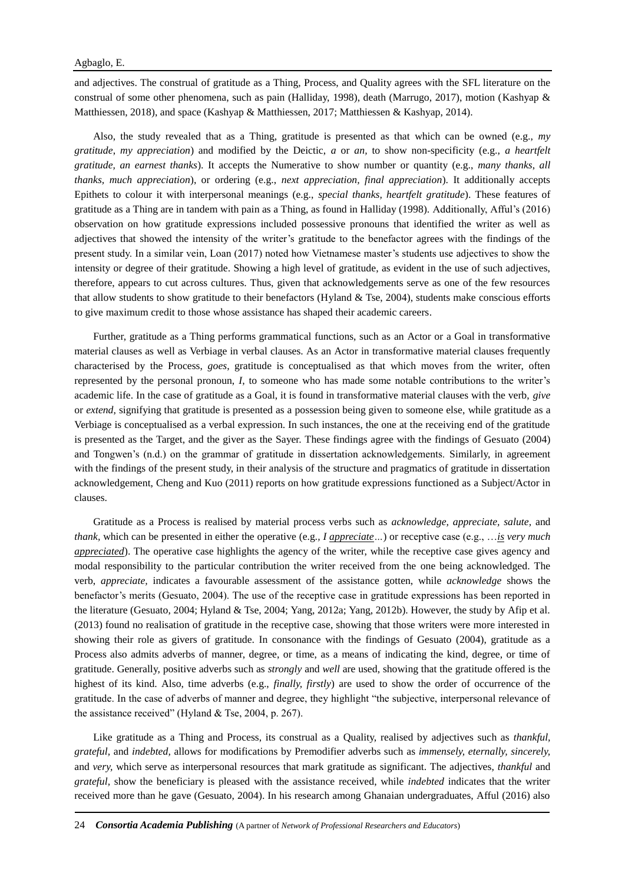and adjectives. The construal of gratitude as a Thing, Process, and Quality agrees with the SFL literature on the construal of some other phenomena, such as pain (Halliday, 1998), death (Marrugo, 2017), motion (Kashyap & Matthiessen, 2018), and space (Kashyap & Matthiessen, 2017; Matthiessen & Kashyap, 2014).

Also, the study revealed that as a Thing, gratitude is presented as that which can be owned (e.g., *my gratitude*, *my appreciation*) and modified by the Deictic, *a* or *an,* to show non-specificity (e.g., *a heartfelt gratitude, an earnest thanks*). It accepts the Numerative to show number or quantity (e.g., *many thanks*, *all thanks, much appreciation*), or ordering (e.g., *next appreciation, final appreciation*). It additionally accepts Epithets to colour it with interpersonal meanings (e.g., *special thanks, heartfelt gratitude*). These features of gratitude as a Thing are in tandem with pain as a Thing, as found in Halliday (1998). Additionally, Afful's (2016) observation on how gratitude expressions included possessive pronouns that identified the writer as well as adjectives that showed the intensity of the writer's gratitude to the benefactor agrees with the findings of the present study. In a similar vein, Loan (2017) noted how Vietnamese master's students use adjectives to show the intensity or degree of their gratitude. Showing a high level of gratitude, as evident in the use of such adjectives, therefore, appears to cut across cultures. Thus, given that acknowledgements serve as one of the few resources that allow students to show gratitude to their benefactors (Hyland & Tse, 2004), students make conscious efforts to give maximum credit to those whose assistance has shaped their academic careers.

Further, gratitude as a Thing performs grammatical functions, such as an Actor or a Goal in transformative material clauses as well as Verbiage in verbal clauses. As an Actor in transformative material clauses frequently characterised by the Process, *goes*, gratitude is conceptualised as that which moves from the writer, often represented by the personal pronoun, *I*, to someone who has made some notable contributions to the writer's academic life. In the case of gratitude as a Goal, it is found in transformative material clauses with the verb, *give* or *extend*, signifying that gratitude is presented as a possession being given to someone else, while gratitude as a Verbiage is conceptualised as a verbal expression. In such instances, the one at the receiving end of the gratitude is presented as the Target, and the giver as the Sayer. These findings agree with the findings of Gesuato (2004) and Tongwen's (n.d.) on the grammar of gratitude in dissertation acknowledgements. Similarly, in agreement with the findings of the present study, in their analysis of the structure and pragmatics of gratitude in dissertation acknowledgement, Cheng and Kuo (2011) reports on how gratitude expressions functioned as a Subject/Actor in clauses.

Gratitude as a Process is realised by material process verbs such as *acknowledge, appreciate, salute,* and *thank,* which can be presented in either the operative (e.g*., I appreciate…*) or receptive case (e.g., …*is very much appreciated*). The operative case highlights the agency of the writer, while the receptive case gives agency and modal responsibility to the particular contribution the writer received from the one being acknowledged. The verb, *appreciate,* indicates a favourable assessment of the assistance gotten, while *acknowledge* shows the benefactor's merits (Gesuato, 2004). The use of the receptive case in gratitude expressions has been reported in the literature (Gesuato, 2004; Hyland & Tse, 2004; Yang, 2012a; Yang, 2012b). However, the study by Afip et al. (2013) found no realisation of gratitude in the receptive case, showing that those writers were more interested in showing their role as givers of gratitude. In consonance with the findings of Gesuato (2004), gratitude as a Process also admits adverbs of manner, degree, or time, as a means of indicating the kind, degree, or time of gratitude. Generally, positive adverbs such as *strongly* and *well* are used, showing that the gratitude offered is the highest of its kind. Also, time adverbs (e.g., *finally, firstly*) are used to show the order of occurrence of the gratitude. In the case of adverbs of manner and degree, they highlight "the subjective, interpersonal relevance of the assistance received" (Hyland & Tse, 2004, p. 267).

Like gratitude as a Thing and Process, its construal as a Quality, realised by adjectives such as *thankful, grateful,* and *indebted,* allows for modifications by Premodifier adverbs such as *immensely, eternally, sincerely,*  and *very,* which serve as interpersonal resources that mark gratitude as significant. The adjectives, *thankful* and *grateful,* show the beneficiary is pleased with the assistance received, while *indebted* indicates that the writer received more than he gave (Gesuato, 2004). In his research among Ghanaian undergraduates, Afful (2016) also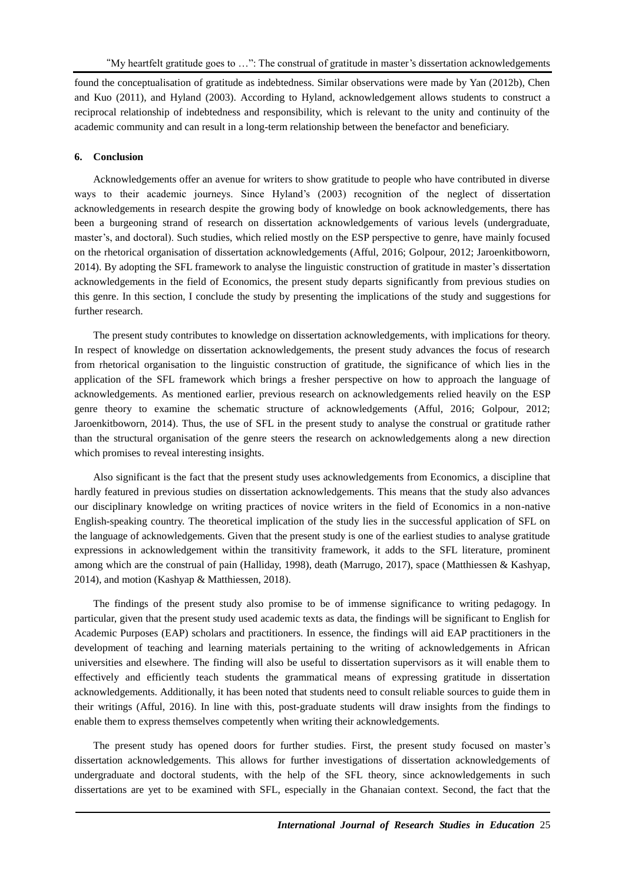found the conceptualisation of gratitude as indebtedness. Similar observations were made by Yan (2012b), Chen and Kuo (2011), and Hyland (2003). According to Hyland, acknowledgement allows students to construct a reciprocal relationship of indebtedness and responsibility, which is relevant to the unity and continuity of the academic community and can result in a long-term relationship between the benefactor and beneficiary.

## **6. Conclusion**

Acknowledgements offer an avenue for writers to show gratitude to people who have contributed in diverse ways to their academic journeys. Since Hyland's (2003) recognition of the neglect of dissertation acknowledgements in research despite the growing body of knowledge on book acknowledgements, there has been a burgeoning strand of research on dissertation acknowledgements of various levels (undergraduate, master's, and doctoral). Such studies, which relied mostly on the ESP perspective to genre, have mainly focused on the rhetorical organisation of dissertation acknowledgements (Afful, 2016; Golpour, 2012; Jaroenkitboworn, 2014). By adopting the SFL framework to analyse the linguistic construction of gratitude in master's dissertation acknowledgements in the field of Economics, the present study departs significantly from previous studies on this genre. In this section, I conclude the study by presenting the implications of the study and suggestions for further research.

The present study contributes to knowledge on dissertation acknowledgements, with implications for theory. In respect of knowledge on dissertation acknowledgements, the present study advances the focus of research from rhetorical organisation to the linguistic construction of gratitude, the significance of which lies in the application of the SFL framework which brings a fresher perspective on how to approach the language of acknowledgements. As mentioned earlier, previous research on acknowledgements relied heavily on the ESP genre theory to examine the schematic structure of acknowledgements (Afful, 2016; Golpour, 2012; Jaroenkitboworn, 2014). Thus, the use of SFL in the present study to analyse the construal or gratitude rather than the structural organisation of the genre steers the research on acknowledgements along a new direction which promises to reveal interesting insights.

Also significant is the fact that the present study uses acknowledgements from Economics, a discipline that hardly featured in previous studies on dissertation acknowledgements. This means that the study also advances our disciplinary knowledge on writing practices of novice writers in the field of Economics in a non-native English-speaking country. The theoretical implication of the study lies in the successful application of SFL on the language of acknowledgements. Given that the present study is one of the earliest studies to analyse gratitude expressions in acknowledgement within the transitivity framework, it adds to the SFL literature, prominent among which are the construal of pain (Halliday, 1998), death (Marrugo, 2017), space (Matthiessen & Kashyap, 2014), and motion (Kashyap & Matthiessen, 2018).

The findings of the present study also promise to be of immense significance to writing pedagogy. In particular, given that the present study used academic texts as data, the findings will be significant to English for Academic Purposes (EAP) scholars and practitioners. In essence, the findings will aid EAP practitioners in the development of teaching and learning materials pertaining to the writing of acknowledgements in African universities and elsewhere. The finding will also be useful to dissertation supervisors as it will enable them to effectively and efficiently teach students the grammatical means of expressing gratitude in dissertation acknowledgements. Additionally, it has been noted that students need to consult reliable sources to guide them in their writings (Afful, 2016). In line with this, post-graduate students will draw insights from the findings to enable them to express themselves competently when writing their acknowledgements.

The present study has opened doors for further studies. First, the present study focused on master's dissertation acknowledgements. This allows for further investigations of dissertation acknowledgements of undergraduate and doctoral students, with the help of the SFL theory, since acknowledgements in such dissertations are yet to be examined with SFL, especially in the Ghanaian context. Second, the fact that the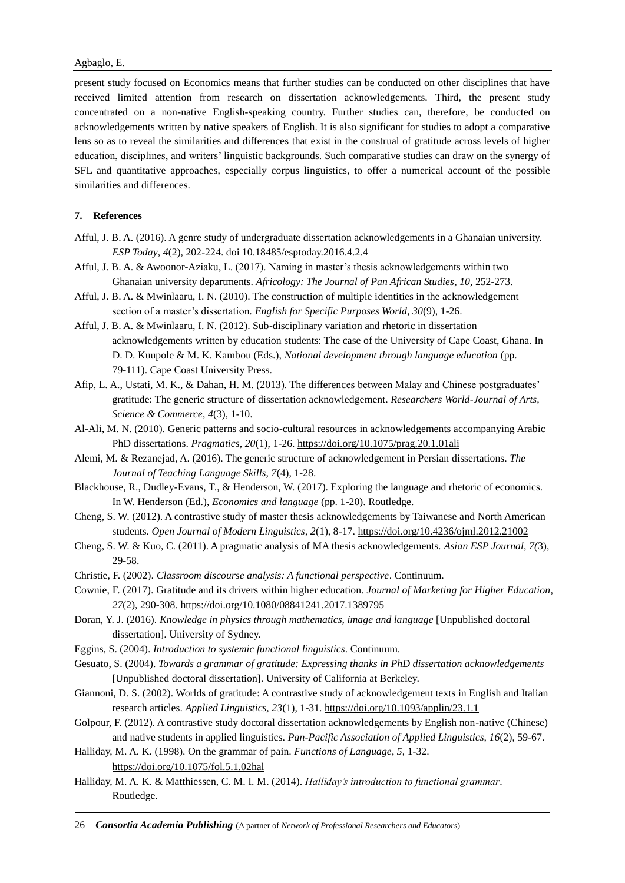present study focused on Economics means that further studies can be conducted on other disciplines that have received limited attention from research on dissertation acknowledgements. Third, the present study concentrated on a non-native English-speaking country. Further studies can, therefore, be conducted on acknowledgements written by native speakers of English. It is also significant for studies to adopt a comparative lens so as to reveal the similarities and differences that exist in the construal of gratitude across levels of higher education, disciplines, and writers' linguistic backgrounds. Such comparative studies can draw on the synergy of SFL and quantitative approaches, especially corpus linguistics, to offer a numerical account of the possible similarities and differences.

## **7. References**

- Afful, J. B. A. (2016). A genre study of undergraduate dissertation acknowledgements in a Ghanaian university. *ESP Today*, *4*(2), 202-224. doi 10.18485/esptoday.2016.4.2.4
- Afful, J. B. A. & Awoonor-Aziaku, L. (2017). Naming in master's thesis acknowledgements within two Ghanaian university departments. *Africology: The Journal of Pan African Studies*, *10*, 252-273.
- Afful, J. B. A. & Mwinlaaru, I. N. (2010). The construction of multiple identities in the acknowledgement section of a master's dissertation*. English for Specific Purposes World, 30*(9), 1-26.
- Afful, J. B. A. & Mwinlaaru, I. N. (2012). Sub-disciplinary variation and rhetoric in dissertation acknowledgements written by education students: The case of the University of Cape Coast, Ghana. In D. D. Kuupole & M. K. Kambou (Eds.), *National development through language education* (pp. 79-111). Cape Coast University Press.
- Afip, L. A., Ustati, M. K., & Dahan, H. M. (2013). The differences between Malay and Chinese postgraduates' gratitude: The generic structure of dissertation acknowledgement. *Researchers World-Journal of Arts, Science & Commerce*, *4*(3), 1-10.
- Al-Ali, M. N. (2010). Generic patterns and socio-cultural resources in acknowledgements accompanying Arabic PhD dissertations. *Pragmatics, 20*(1), 1-26.<https://doi.org/10.1075/prag.20.1.01ali>
- Alemi, M. & Rezanejad, A. (2016). The generic structure of acknowledgement in Persian dissertations. *The Journal of Teaching Language Skills, 7*(4), 1-28.
- Blackhouse, R., Dudley-Evans, T., & Henderson, W. (2017). Exploring the language and rhetoric of economics. In W. Henderson (Ed.), *Economics and language* (pp. 1-20). Routledge.
- Cheng, S. W. (2012). A contrastive study of master thesis acknowledgements by Taiwanese and North American students. *Open Journal of Modern Linguistics, 2*(1), 8-17.<https://doi.org/10.4236/ojml.2012.21002>
- Cheng, S. W. & Kuo, C. (2011). A pragmatic analysis of MA thesis acknowledgements. *Asian ESP Journal, 7(*3), 29-58.
- Christie, F. (2002). *Classroom discourse analysis: A functional perspective*. Continuum.
- Cownie, F. (2017). Gratitude and its drivers within higher education. *Journal of Marketing for Higher Education*, *27*(2), 290-308.<https://doi.org/10.1080/08841241.2017.1389795>
- Doran, Y. J. (2016). *Knowledge in physics through mathematics, image and language* [Unpublished doctoral dissertation]. University of Sydney.
- Eggins, S. (2004). *Introduction to systemic functional linguistics*. Continuum.
- Gesuato, S. (2004). *Towards a grammar of gratitude: Expressing thanks in PhD dissertation acknowledgements*  [Unpublished doctoral dissertation]. University of California at Berkeley.
- Giannoni, D. S. (2002). Worlds of gratitude: A contrastive study of acknowledgement texts in English and Italian research articles. *Applied Linguistics, 23*(1), 1-31.<https://doi.org/10.1093/applin/23.1.1>
- Golpour, F. (2012). A contrastive study doctoral dissertation acknowledgements by English non-native (Chinese) and native students in applied linguistics. *Pan-Pacific Association of Applied Linguistics, 16*(2), 59-67.
- Halliday, M. A. K. (1998). On the grammar of pain. *Functions of Language*, *5*, 1-32. <https://doi.org/10.1075/fol.5.1.02hal>
- Halliday, M. A. K. & Matthiessen, C. M. I. M. (2014). *Halliday's introduction to functional grammar*. Routledge.